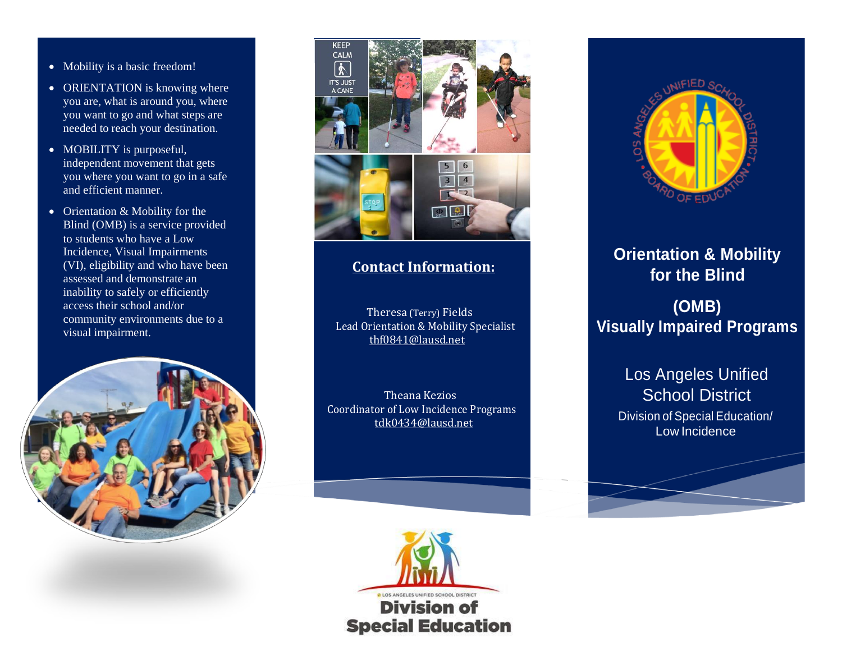- Mobility is a basic freedom!
- ORIENTATION is knowing where you are, what is around you, where you want to go and what steps are needed to reach your destination.
- MOBILITY is purposeful, independent movement that gets you where you want to go in a safe and efficient manner.
- Orientation & Mobility for the Blind (OMB) is a service provided to students who have a Low Incidence, Visual Impairments (VI), eligibility and who have been assessed and demonstrate an inability to safely or efficiently access their school and/or community environments due to a visual impairment.





## **Contact Information:**

 Theresa (Terry) Fields Lead Orientation & Mobility Specialist thf0841@lausd.net

 Theana Kezios Coordinator of Low Incidence Programs [tdk0434@lausd.net](mailto:tdk0434@lausd.net)





## **Orientation & Mobility for the Blind (OMB) Visually Impaired Programs**

Los Angeles Unified School District Division of Special Education/ Low Incidence